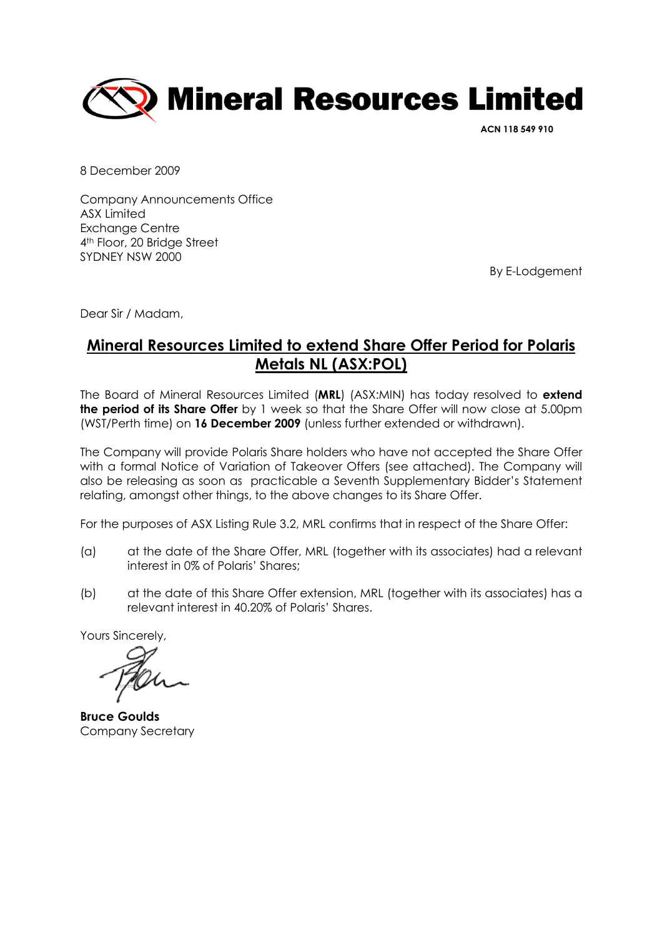

ACN 118 549 910

8 December 2009

Company Announcements Office ASX Limited Exchange Centre 4th Floor, 20 Bridge Street SYDNEY NSW 2000

By E-Lodgement

Dear Sir / Madam,

## Mineral Resources Limited to extend Share Offer Period for Polaris Metals NL (ASX:POL)

The Board of Mineral Resources Limited (MRL) (ASX:MIN) has today resolved to extend the period of its Share Offer by 1 week so that the Share Offer will now close at 5.00pm (WST/Perth time) on 16 December 2009 (unless further extended or withdrawn).

The Company will provide Polaris Share holders who have not accepted the Share Offer with a formal Notice of Variation of Takeover Offers (see attached). The Company will also be releasing as soon as practicable a Seventh Supplementary Bidder's Statement relating, amongst other things, to the above changes to its Share Offer.

For the purposes of ASX Listing Rule 3.2, MRL confirms that in respect of the Share Offer:

- (a) at the date of the Share Offer, MRL (together with its associates) had a relevant interest in 0% of Polaris' Shares;
- (b) at the date of this Share Offer extension, MRL (together with its associates) has a relevant interest in 40.20% of Polaris' Shares.

Yours Sincerely,

Bruce Goulds Company Secretary